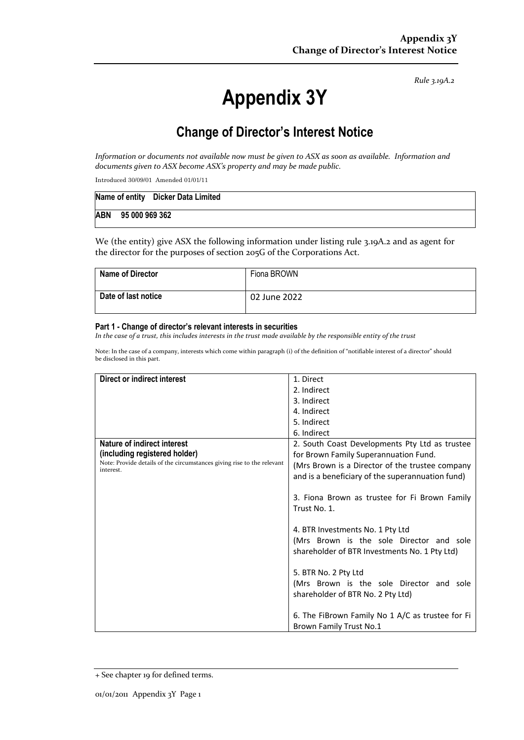*Rule 3.19A.2*

# **Appendix 3Y**

## **Change of Director's Interest Notice**

*Information or documents not available now must be given to ASX as soon as available. Information and documents given to ASX become ASX's property and may be made public.*

Introduced 30/09/01 Amended 01/01/11

|            |                | Name of entity Dicker Data Limited |
|------------|----------------|------------------------------------|
| <b>ABN</b> | 95 000 969 362 |                                    |

We (the entity) give ASX the following information under listing rule 3.19A.2 and as agent for the director for the purposes of section 205G of the Corporations Act.

| <b>Name of Director</b> | Fiona BROWN  |
|-------------------------|--------------|
| Date of last notice     | 02 June 2022 |

#### **Part 1 - Change of director's relevant interests in securities**

*In the case of a trust, this includes interests in the trust made available by the responsible entity of the trust*

Note: In the case of a company, interests which come within paragraph (i) of the definition of "notifiable interest of a director" should be disclosed in this part.

| Direct or indirect interest                                                         | 1. Direct                                        |
|-------------------------------------------------------------------------------------|--------------------------------------------------|
|                                                                                     | 2. Indirect                                      |
|                                                                                     | 3. Indirect                                      |
|                                                                                     | 4. Indirect                                      |
|                                                                                     | 5. Indirect                                      |
|                                                                                     | 6. Indirect                                      |
| Nature of indirect interest                                                         | 2. South Coast Developments Pty Ltd as trustee   |
| (including registered holder)                                                       | for Brown Family Superannuation Fund.            |
| Note: Provide details of the circumstances giving rise to the relevant<br>interest. | (Mrs Brown is a Director of the trustee company  |
|                                                                                     | and is a beneficiary of the superannuation fund) |
|                                                                                     |                                                  |
|                                                                                     | 3. Fiona Brown as trustee for Fi Brown Family    |
|                                                                                     | Trust No. 1.                                     |
|                                                                                     |                                                  |
|                                                                                     | 4. BTR Investments No. 1 Pty Ltd                 |
|                                                                                     | (Mrs Brown is the sole Director and sole         |
|                                                                                     | shareholder of BTR Investments No. 1 Pty Ltd)    |
|                                                                                     |                                                  |
|                                                                                     | 5. BTR No. 2 Pty Ltd                             |
|                                                                                     | (Mrs Brown is the sole Director and sole         |
|                                                                                     | shareholder of BTR No. 2 Pty Ltd)                |
|                                                                                     |                                                  |
|                                                                                     | 6. The FiBrown Family No 1 A/C as trustee for Fi |
|                                                                                     | Brown Family Trust No.1                          |

<sup>+</sup> See chapter 19 for defined terms.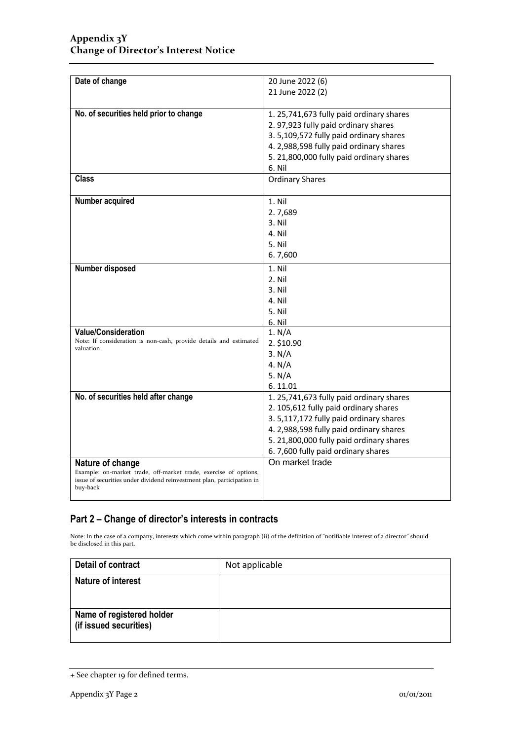| Date of change                                                                     | 20 June 2022 (6)                         |
|------------------------------------------------------------------------------------|------------------------------------------|
|                                                                                    | 21 June 2022 (2)                         |
|                                                                                    |                                          |
| No. of securities held prior to change                                             | 1. 25,741,673 fully paid ordinary shares |
|                                                                                    | 2. 97,923 fully paid ordinary shares     |
|                                                                                    | 3. 5,109,572 fully paid ordinary shares  |
|                                                                                    | 4. 2,988,598 fully paid ordinary shares  |
|                                                                                    | 5. 21,800,000 fully paid ordinary shares |
|                                                                                    | 6. Nil                                   |
| Class                                                                              | <b>Ordinary Shares</b>                   |
|                                                                                    |                                          |
| Number acquired                                                                    | 1. Nil                                   |
|                                                                                    | 2.7,689                                  |
|                                                                                    | 3. Nil                                   |
|                                                                                    | 4. Nil                                   |
|                                                                                    | 5. Nil                                   |
|                                                                                    | 6.7,600                                  |
| Number disposed                                                                    | 1. Nil                                   |
|                                                                                    | 2. Nil                                   |
|                                                                                    | 3. Nil                                   |
|                                                                                    | 4. Nil                                   |
|                                                                                    | 5. Nil                                   |
|                                                                                    | 6. Nil                                   |
| <b>Value/Consideration</b>                                                         | 1. N/A                                   |
| Note: If consideration is non-cash, provide details and estimated<br>valuation     | 2. \$10.90                               |
|                                                                                    | 3. N/A                                   |
|                                                                                    | 4. N/A                                   |
|                                                                                    | 5. N/A                                   |
|                                                                                    | 6.11.01                                  |
| No. of securities held after change                                                | 1. 25,741,673 fully paid ordinary shares |
|                                                                                    | 2. 105,612 fully paid ordinary shares    |
|                                                                                    | 3. 5,117,172 fully paid ordinary shares  |
|                                                                                    | 4. 2,988,598 fully paid ordinary shares  |
|                                                                                    | 5. 21,800,000 fully paid ordinary shares |
|                                                                                    | 6.7,600 fully paid ordinary shares       |
| Nature of change                                                                   | On market trade                          |
| Example: on-market trade, off-market trade, exercise of options,                   |                                          |
| issue of securities under dividend reinvestment plan, participation in<br>buy-back |                                          |
|                                                                                    |                                          |

### **Part 2 – Change of director's interests in contracts**

Note: In the case of a company, interests which come within paragraph (ii) of the definition of "notifiable interest of a director" should be disclosed in this part.

| Detail of contract                                  | Not applicable |
|-----------------------------------------------------|----------------|
| <b>Nature of interest</b>                           |                |
| Name of registered holder<br>(if issued securities) |                |

<sup>+</sup> See chapter 19 for defined terms.